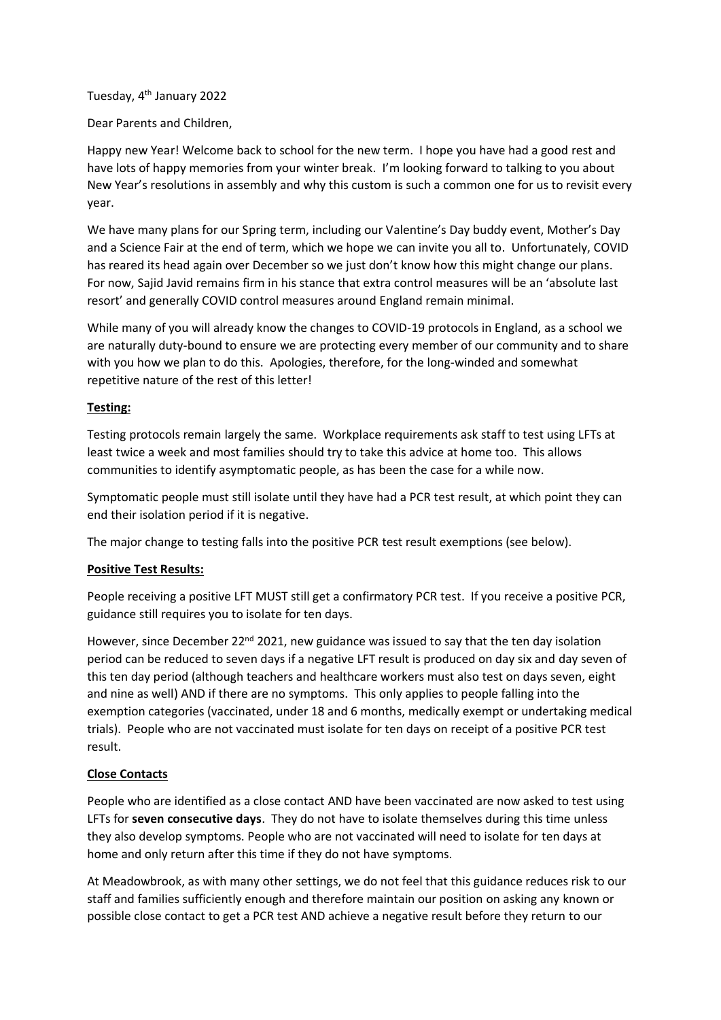Tuesday, 4th January 2022

Dear Parents and Children,

Happy new Year! Welcome back to school for the new term. I hope you have had a good rest and have lots of happy memories from your winter break. I'm looking forward to talking to you about New Year's resolutions in assembly and why this custom is such a common one for us to revisit every year.

We have many plans for our Spring term, including our Valentine's Day buddy event, Mother's Day and a Science Fair at the end of term, which we hope we can invite you all to. Unfortunately, COVID has reared its head again over December so we just don't know how this might change our plans. For now, Sajid Javid remains firm in his stance that extra control measures will be an 'absolute last resort' and generally COVID control measures around England remain minimal.

While many of you will already know the changes to COVID-19 protocols in England, as a school we are naturally duty-bound to ensure we are protecting every member of our community and to share with you how we plan to do this. Apologies, therefore, for the long-winded and somewhat repetitive nature of the rest of this letter!

# **Testing:**

Testing protocols remain largely the same. Workplace requirements ask staff to test using LFTs at least twice a week and most families should try to take this advice at home too. This allows communities to identify asymptomatic people, as has been the case for a while now.

Symptomatic people must still isolate until they have had a PCR test result, at which point they can end their isolation period if it is negative.

The major change to testing falls into the positive PCR test result exemptions (see below).

# **Positive Test Results:**

People receiving a positive LFT MUST still get a confirmatory PCR test. If you receive a positive PCR, guidance still requires you to isolate for ten days.

However, since December 22<sup>nd</sup> 2021, new guidance was issued to say that the ten day isolation period can be reduced to seven days if a negative LFT result is produced on day six and day seven of this ten day period (although teachers and healthcare workers must also test on days seven, eight and nine as well) AND if there are no symptoms. This only applies to people falling into the exemption categories (vaccinated, under 18 and 6 months, medically exempt or undertaking medical trials). People who are not vaccinated must isolate for ten days on receipt of a positive PCR test result.

# **Close Contacts**

People who are identified as a close contact AND have been vaccinated are now asked to test using LFTs for **seven consecutive days**. They do not have to isolate themselves during this time unless they also develop symptoms. People who are not vaccinated will need to isolate for ten days at home and only return after this time if they do not have symptoms.

At Meadowbrook, as with many other settings, we do not feel that this guidance reduces risk to our staff and families sufficiently enough and therefore maintain our position on asking any known or possible close contact to get a PCR test AND achieve a negative result before they return to our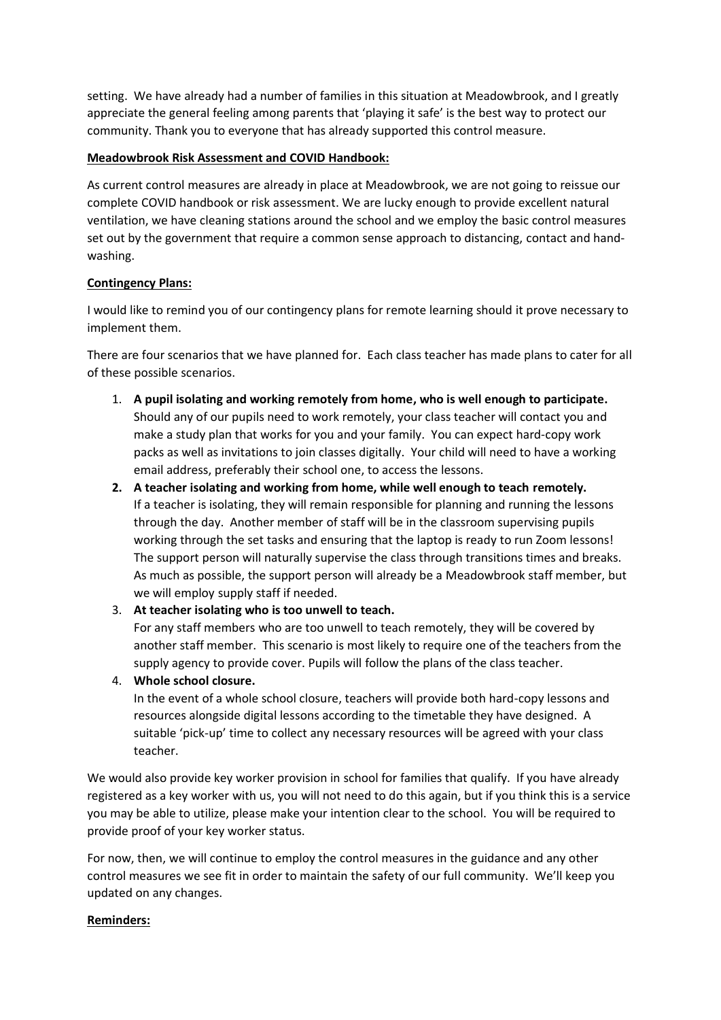setting. We have already had a number of families in this situation at Meadowbrook, and I greatly appreciate the general feeling among parents that 'playing it safe' is the best way to protect our community. Thank you to everyone that has already supported this control measure.

## **Meadowbrook Risk Assessment and COVID Handbook:**

As current control measures are already in place at Meadowbrook, we are not going to reissue our complete COVID handbook or risk assessment. We are lucky enough to provide excellent natural ventilation, we have cleaning stations around the school and we employ the basic control measures set out by the government that require a common sense approach to distancing, contact and handwashing.

## **Contingency Plans:**

I would like to remind you of our contingency plans for remote learning should it prove necessary to implement them.

There are four scenarios that we have planned for. Each class teacher has made plans to cater for all of these possible scenarios.

- 1. **A pupil isolating and working remotely from home, who is well enough to participate.** Should any of our pupils need to work remotely, your class teacher will contact you and make a study plan that works for you and your family. You can expect hard-copy work packs as well as invitations to join classes digitally. Your child will need to have a working email address, preferably their school one, to access the lessons.
- **2. A teacher isolating and working from home, while well enough to teach remotely.** If a teacher is isolating, they will remain responsible for planning and running the lessons through the day. Another member of staff will be in the classroom supervising pupils working through the set tasks and ensuring that the laptop is ready to run Zoom lessons! The support person will naturally supervise the class through transitions times and breaks. As much as possible, the support person will already be a Meadowbrook staff member, but we will employ supply staff if needed.

### 3. **At teacher isolating who is too unwell to teach.**

For any staff members who are too unwell to teach remotely, they will be covered by another staff member. This scenario is most likely to require one of the teachers from the supply agency to provide cover. Pupils will follow the plans of the class teacher.

4. **Whole school closure.**

In the event of a whole school closure, teachers will provide both hard-copy lessons and resources alongside digital lessons according to the timetable they have designed. A suitable 'pick-up' time to collect any necessary resources will be agreed with your class teacher.

We would also provide key worker provision in school for families that qualify. If you have already registered as a key worker with us, you will not need to do this again, but if you think this is a service you may be able to utilize, please make your intention clear to the school. You will be required to provide proof of your key worker status.

For now, then, we will continue to employ the control measures in the guidance and any other control measures we see fit in order to maintain the safety of our full community. We'll keep you updated on any changes.

### **Reminders:**